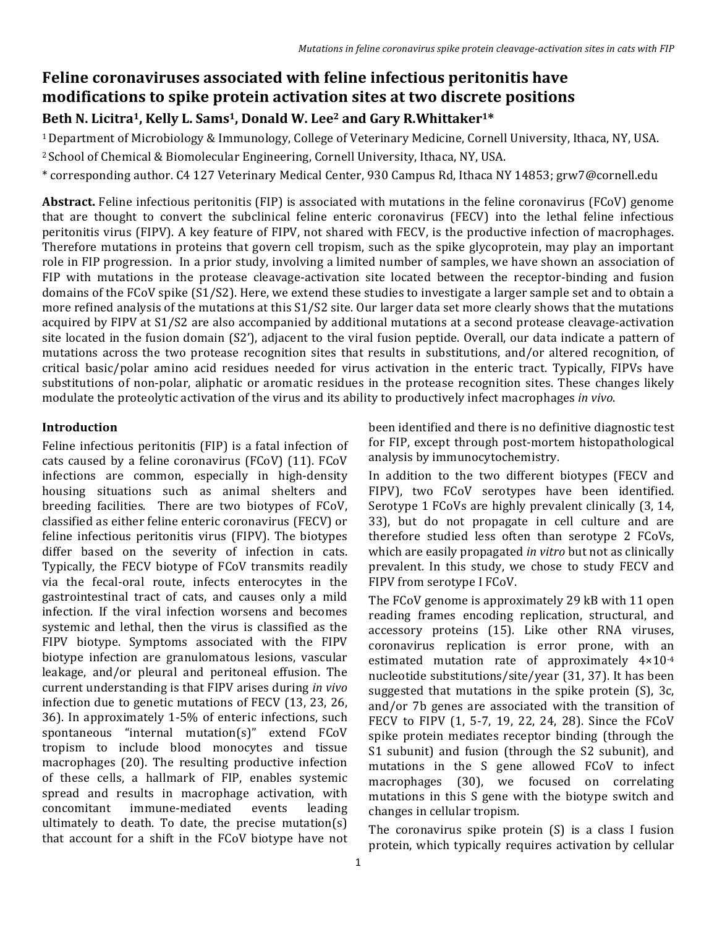# **Feline coronaviruses associated with feline infectious peritonitis have modifications to spike protein activation sites at two discrete positions** Beth N. Licitra<sup>1</sup>, Kelly L. Sams<sup>1</sup>, Donald W. Lee<sup>2</sup> and Gary R.Whittaker<sup>1\*</sup>

<sup>1</sup> Department of Microbiology & Immunology, College of Veterinary Medicine, Cornell University, Ithaca, NY, USA. <sup>2</sup> School of Chemical & Biomolecular Engineering, Cornell University, Ithaca, NY, USA.

\* corresponding author. C4 127 Veterinary Medical Center, 930 Campus Rd, Ithaca NY 14853; grw7@cornell.edu

**Abstract.** Feline infectious peritonitis (FIP) is associated with mutations in the feline coronavirus (FCoV) genome that are thought to convert the subclinical feline enteric coronavirus (FECV) into the lethal feline infectious peritonitis virus (FIPV). A key feature of FIPV, not shared with FECV, is the productive infection of macrophages. Therefore mutations in proteins that govern cell tropism, such as the spike glycoprotein, may play an important role in FIP progression. In a prior study, involving a limited number of samples, we have shown an association of FIP with mutations in the protease cleavage-activation site located between the receptor-binding and fusion domains of the  $FCOV$  spike  $(S1/S2)$ . Here, we extend these studies to investigate a larger sample set and to obtain a more refined analysis of the mutations at this S1/S2 site. Our larger data set more clearly shows that the mutations acquired by FIPV at S1/S2 are also accompanied by additional mutations at a second protease cleavage-activation site located in the fusion domain  $(S2')$ , adjacent to the viral fusion peptide. Overall, our data indicate a pattern of mutations across the two protease recognition sites that results in substitutions, and/or altered recognition, of critical basic/polar amino acid residues needed for virus activation in the enteric tract. Typically, FIPVs have substitutions of non-polar, aliphatic or aromatic residues in the protease recognition sites. These changes likely modulate the proteolytic activation of the virus and its ability to productively infect macrophages *in vivo*.

### **Introduction**

Feline infectious peritonitis (FIP) is a fatal infection of cats caused by a feline coronavirus (FCoV) (11). FCoV infections are common, especially in high-density housing situations such as animal shelters and breeding facilities. There are two biotypes of FCoV, classified as either feline enteric coronavirus (FECV) or feline infectious peritonitis virus (FIPV). The biotypes differ based on the severity of infection in cats. Typically, the FECV biotype of FCoV transmits readily via the fecal-oral route, infects enterocytes in the gastrointestinal tract of cats, and causes only a mild infection. If the viral infection worsens and becomes systemic and lethal, then the virus is classified as the FIPV biotype. Symptoms associated with the FIPV biotype infection are granulomatous lesions, vascular leakage, and/or pleural and peritoneal effusion. The current understanding is that FIPV arises during *in vivo* infection due to genetic mutations of FECV  $(13, 23, 26, 16)$ 36). In approximately 1-5% of enteric infections, such spontaneous "internal mutation(s)" extend  $FCoV$ tropism to include blood monocytes and tissue macrophages (20). The resulting productive infection of these cells, a hallmark of FIP, enables systemic spread and results in macrophage activation, with concomitant immune-mediated events leading ultimately to death. To date, the precise mutation(s) that account for a shift in the FCoV biotype have not been identified and there is no definitive diagnostic test for FIP, except through post-mortem histopathological analysis by immunocytochemistry.

In addition to the two different biotypes (FECV and FIPV), two FCoV serotypes have been identified. Serotype 1 FCoVs are highly prevalent clinically (3, 14, 33), but do not propagate in cell culture and are therefore studied less often than serotype 2 FCoVs, which are easily propagated *in vitro* but not as clinically prevalent. In this study, we chose to study FECV and FIPV from serotype I FCoV.

The FCoV genome is approximately 29 kB with 11 open reading frames encoding replication, structural, and accessory proteins (15). Like other RNA viruses, coronavirus replication is error prone, with an estimated mutation rate of approximately  $4\times10^{-4}$ nucleotide substitutions/site/year (31, 37). It has been suggested that mutations in the spike protein  $(S)$ , 3c, and/or 7b genes are associated with the transition of FECV to FIPV (1, 5-7, 19, 22, 24, 28). Since the FCoV spike protein mediates receptor binding (through the S1 subunit) and fusion (through the S2 subunit), and mutations in the S gene allowed FCoV to infect macrophages (30), we focused on correlating mutations in this S gene with the biotype switch and changes in cellular tropism.

The coronavirus spike protein  $(S)$  is a class I fusion protein, which typically requires activation by cellular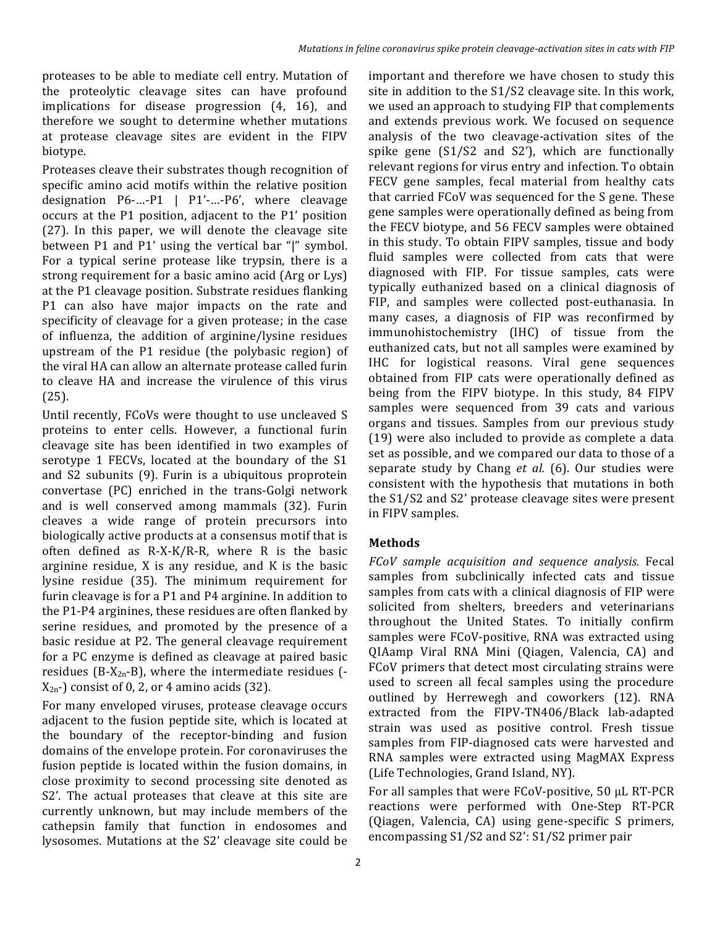proteases to be able to mediate cell entry. Mutation of the proteolytic cleavage sites can have profound implications for disease progression  $(4, 16)$ , and therefore we sought to determine whether mutations at protease cleavage sites are evident in the FIPV biotype.

Proteases cleave their substrates though recognition of specific amino acid motifs within the relative position designation  $P6$ -...- $P1$  |  $P1'$ -...- $P6'$ , where cleavage occurs at the P1 position, adjacent to the P1' position  $(27)$ . In this paper, we will denote the cleavage site between P1 and P1' using the vertical bar "|" symbol. For a typical serine protease like trypsin, there is a strong requirement for a basic amino acid (Arg or Lys) at the P1 cleavage position. Substrate residues flanking P1 can also have major impacts on the rate and specificity of cleavage for a given protease; in the case of influenza, the addition of arginine/lysine residues upstream of the P1 residue (the polybasic region) of the viral HA can allow an alternate protease called furin to cleave HA and increase the virulence of this virus (25). 

Until recently, FCoVs were thought to use uncleaved S proteins to enter cells. However, a functional furin cleavage site has been identified in two examples of serotype 1 FECVs, located at the boundary of the S1 and S2 subunits (9). Furin is a ubiquitous proprotein convertase (PC) enriched in the trans-Golgi network and is well conserved among mammals (32). Furin cleaves a wide range of protein precursors into biologically active products at a consensus motif that is often defined as  $R-X-K/R-R$ , where R is the basic arginine residue,  $X$  is any residue, and  $K$  is the basic lysine residue (35). The minimum requirement for furin cleavage is for a P1 and P4 arginine. In addition to the P1-P4 arginines, these residues are often flanked by serine residues, and promoted by the presence of a basic residue at P2. The general cleavage requirement for a PC enzyme is defined as cleavage at paired basic residues (B-X<sub>2n</sub>-B), where the intermediate residues  $( X_{2n}$ -) consist of 0, 2, or 4 amino acids (32).

For many enveloped viruses, protease cleavage occurs adjacent to the fusion peptide site, which is located at the boundary of the receptor-binding and fusion domains of the envelope protein. For coronaviruses the fusion peptide is located within the fusion domains, in close proximity to second processing site denoted as S2'. The actual proteases that cleave at this site are currently unknown, but may include members of the cathepsin family that function in endosomes and lysosomes. Mutations at the S2' cleavage site could be

important and therefore we have chosen to study this site in addition to the  $S1/S2$  cleavage site. In this work, we used an approach to studying FIP that complements and extends previous work. We focused on sequence analysis of the two cleavage-activation sites of the spike gene  $(S1/S2$  and  $S2'$ ), which are functionally relevant regions for virus entry and infection. To obtain FECV gene samples, fecal material from healthy cats that carried FCoV was sequenced for the S gene. These gene samples were operationally defined as being from the FECV biotype, and 56 FECV samples were obtained in this study. To obtain FIPV samples, tissue and body fluid samples were collected from cats that were diagnosed with FIP. For tissue samples, cats were typically euthanized based on a clinical diagnosis of FIP, and samples were collected post-euthanasia. In many cases, a diagnosis of FIP was reconfirmed by immunohistochemistry (IHC) of tissue from the euthanized cats, but not all samples were examined by IHC for logistical reasons. Viral gene sequences obtained from FIP cats were operationally defined as being from the FIPV biotype. In this study, 84 FIPV samples were sequenced from 39 cats and various organs and tissues. Samples from our previous study (19) were also included to provide as complete a data set as possible, and we compared our data to those of a separate study by Chang et al. (6). Our studies were consistent with the hypothesis that mutations in both the S1/S2 and S2' protease cleavage sites were present in FIPV samples.

### **Methods**

*FCoV sample acquisition and sequence analysis.*  Fecal samples from subclinically infected cats and tissue samples from cats with a clinical diagnosis of FIP were solicited from shelters, breeders and veterinarians throughout the United States. To initially confirm samples were FCoV-positive, RNA was extracted using QIAamp Viral RNA Mini (Qiagen, Valencia, CA) and FCoV primers that detect most circulating strains were used to screen all fecal samples using the procedure outlined by Herrewegh and coworkers (12). RNA extracted from the FIPV-TN406/Black lab-adapted strain was used as positive control. Fresh tissue samples from FIP-diagnosed cats were harvested and RNA samples were extracted using MagMAX Express (Life Technologies, Grand Island, NY).

For all samples that were  $FCOV$ -positive, 50  $\mu$ L RT-PCR reactions were performed with One-Step RT-PCR (Qiagen, Valencia, CA) using gene-specific S primers, encompassing S1/S2 and S2': S1/S2 primer pair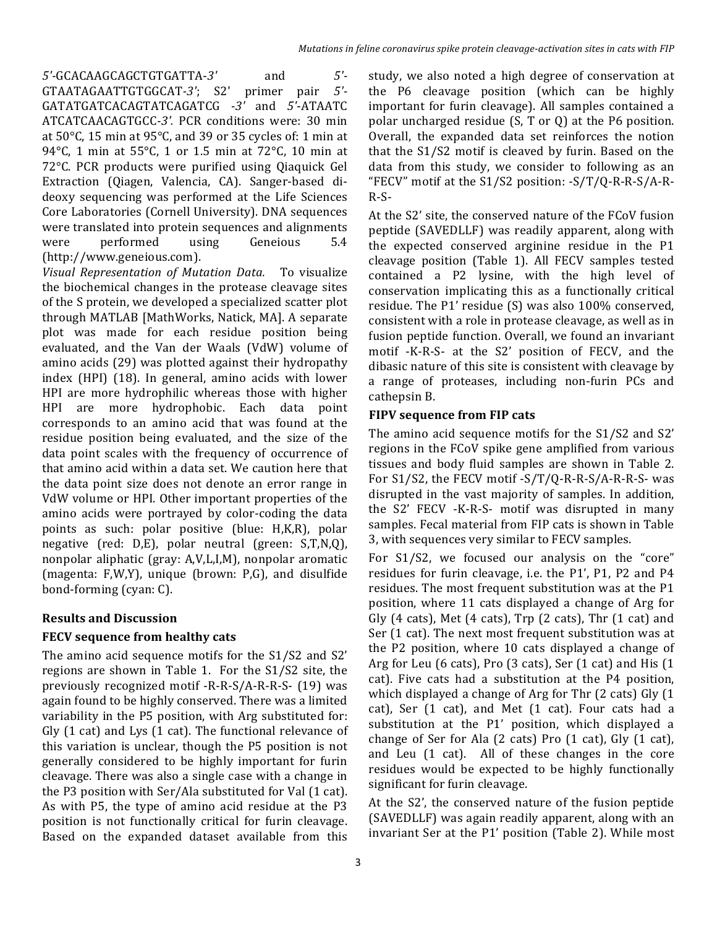*5'-*GCACAAGCAGCTGTGATTA-*3'* and *5'-* GTAATAGAATTGTGGCAT*-3'*; S2' primer pair *5'-* GATATGATCACAGTATCAGATCG *-3'* and *5'*-ATAATC ATCATCAACAGTGCC-3'. PCR conditions were: 30 min at  $50^{\circ}$ C, 15 min at  $95^{\circ}$ C, and 39 or 35 cycles of: 1 min at 94 $^{\circ}$ C, 1 min at 55 $^{\circ}$ C, 1 or 1.5 min at 72 $^{\circ}$ C, 10 min at 72°C. PCR products were purified using Qiaquick Gel Extraction (Qiagen, Valencia, CA). Sanger-based dideoxy sequencing was performed at the Life Sciences Core Laboratories (Cornell University). DNA sequences were translated into protein sequences and alignments were performed using Geneious 5.4 (http://www.geneious.com).

*Visual Representation of Mutation Data.*  To visualize the biochemical changes in the protease cleavage sites of the S protein, we developed a specialized scatter plot through MATLAB [MathWorks, Natick, MA]. A separate plot was made for each residue position being evaluated, and the Van der Waals (VdW) volume of amino acids (29) was plotted against their hydropathy index (HPI) (18). In general, amino acids with lower HPI are more hydrophilic whereas those with higher HPI are more hydrophobic. Each data point corresponds to an amino acid that was found at the residue position being evaluated, and the size of the data point scales with the frequency of occurrence of that amino acid within a data set. We caution here that the data point size does not denote an error range in VdW volume or HPI. Other important properties of the amino acids were portrayed by color-coding the data points as such: polar positive (blue: H,K,R), polar negative (red: D,E), polar neutral (green: S,T,N,Q), nonpolar aliphatic (gray: A,V,L,I,M), nonpolar aromatic (magenta:  $F, W, Y$ ), unique (brown:  $P, G$ ), and disulfide bond-forming (cyan: C).

## **Results and Discussion**

### **FECV** sequence from healthy cats

The amino acid sequence motifs for the  $S1/S2$  and  $S2'$ regions are shown in Table 1. For the  $S1/S2$  site, the previously recognized motif -R-R-S/A-R-R-S- (19) was again found to be highly conserved. There was a limited variability in the P5 position, with Arg substituted for: Gly  $(1 \text{ cat})$  and Lys  $(1 \text{ cat})$ . The functional relevance of this variation is unclear, though the P5 position is not generally considered to be highly important for furin cleavage. There was also a single case with a change in the P3 position with Ser/Ala substituted for Val (1 cat). As with P5, the type of amino acid residue at the P3 position is not functionally critical for furin cleavage. Based on the expanded dataset available from this

study, we also noted a high degree of conservation at the P6 cleavage position (which can be highly important for furin cleavage). All samples contained a polar uncharged residue  $(S, T \text{ or } Q)$  at the P6 position. Overall, the expanded data set reinforces the notion that the  $S1/S2$  motif is cleaved by furin. Based on the data from this study, we consider to following as an "FECV" motif at the  $S1/S2$  position:  $-S/T/Q-R-R-S/A-R-$ R-S-

At the S2' site, the conserved nature of the FCoV fusion peptide (SAVEDLLF) was readily apparent, along with the expected conserved arginine residue in the P1 cleavage position (Table 1). All FECV samples tested contained a P2 lysine, with the high level of conservation implicating this as a functionally critical residue. The  $P1'$  residue  $(S)$  was also  $100\%$  conserved, consistent with a role in protease cleavage, as well as in fusion peptide function. Overall, we found an invariant motif -K-R-S- at the S2' position of FECV, and the dibasic nature of this site is consistent with cleavage by a range of proteases, including non-furin PCs and cathepsin B.

### **FIPV** sequence from FIP cats

The amino acid sequence motifs for the  $S1/S2$  and  $S2'$ regions in the FCoV spike gene amplified from various tissues and body fluid samples are shown in Table 2. For  $S1/S2$ , the FECV motif  $-S/T/Q-R-R-S/A-R-S-$  was disrupted in the vast majority of samples. In addition, the S2' FECV -K-R-S- motif was disrupted in many samples. Fecal material from FIP cats is shown in Table 3, with sequences very similar to FECV samples.

For S1/S2, we focused our analysis on the "core" residues for furin cleavage, i.e. the P1', P1, P2 and P4 residues. The most frequent substitution was at the P1 position, where 11 cats displayed a change of Arg for Gly  $(4 \text{ cats})$ , Met  $(4 \text{ cats})$ , Trp  $(2 \text{ cats})$ , Thr  $(1 \text{ cat})$  and Ser (1 cat). The next most frequent substitution was at the P2 position, where 10 cats displayed a change of Arg for Leu (6 cats), Pro (3 cats), Ser (1 cat) and His (1) cat). Five cats had a substitution at the P4 position, which displayed a change of Arg for Thr  $(2 \text{ cats})$  Gly  $(1 \text{$ cat), Ser  $(1 \text{ cat})$ , and Met  $(1 \text{ cat})$ . Four cats had a substitution at the P1' position, which displayed a change of Ser for Ala  $(2 \text{ cats})$  Pro  $(1 \text{ cat})$ , Gly  $(1 \text{ cat})$ , and Leu  $(1 \text{ cat})$ . All of these changes in the core residues would be expected to be highly functionally significant for furin cleavage.

At the S2', the conserved nature of the fusion peptide (SAVEDLLF) was again readily apparent, along with an invariant Ser at the P1' position (Table 2). While most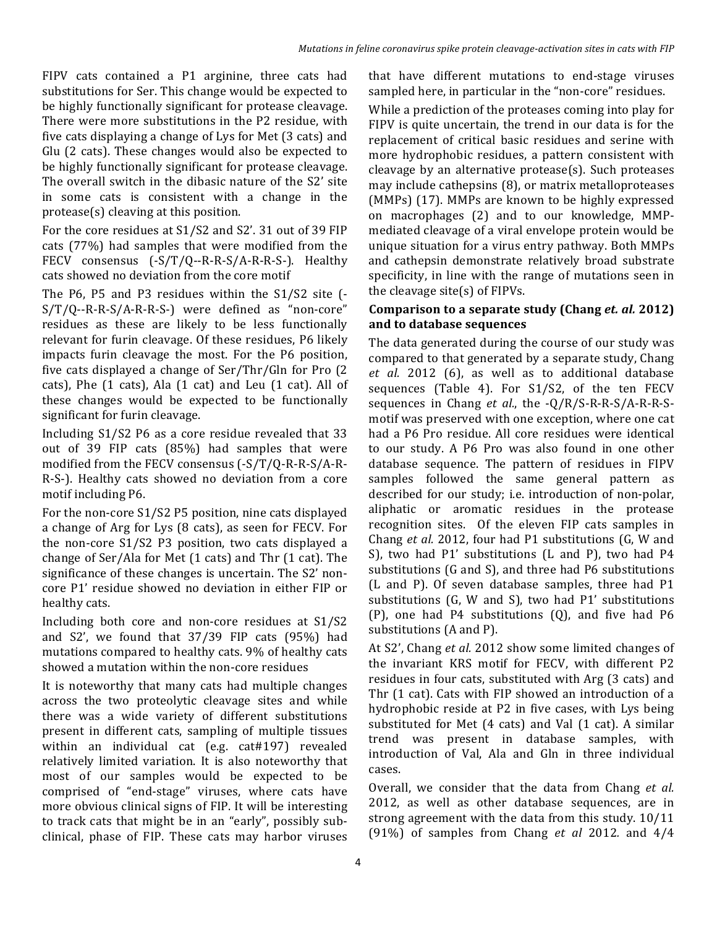FIPV cats contained a P1 arginine, three cats had substitutions for Ser. This change would be expected to be highly functionally significant for protease cleavage. There were more substitutions in the P2 residue, with five cats displaying a change of Lys for Met (3 cats) and Glu (2 cats). These changes would also be expected to be highly functionally significant for protease cleavage. The overall switch in the dibasic nature of the S2' site in some cats is consistent with a change in the  $protease(s)$  cleaving at this position.

For the core residues at S1/S2 and S2'. 31 out of 39 FIP cats (77%) had samples that were modified from the FECV consensus  $(-S/T/Q--R-R-S/A-R-R-S-)$ . Healthy cats showed no deviation from the core motif

The  $P6$ ,  $P5$  and  $P3$  residues within the  $S1/S2$  site  $(-$ S/T/Q--R-R-S/A-R-R-S-) were defined as "non-core" residues as these are likely to be less functionally relevant for furin cleavage. Of these residues, P6 likely impacts furin cleavage the most. For the P6 position, five cats displayed a change of Ser/Thr/Gln for Pro (2) cats), Phe  $(1 \text{ cats})$ , Ala $(1 \text{ cat})$  and Leu  $(1 \text{ cat})$ . All of these changes would be expected to be functionally significant for furin cleavage.

Including  $S1/S2$  P6 as a core residue revealed that 33 out of 39 FIP cats  $(85%)$  had samples that were modified from the FECV consensus  $(-S/T/Q-R-R-S/A-R-$ R-S-). Healthy cats showed no deviation from a core motif including P6.

For the non-core  $S1/S2$  P5 position, nine cats displayed a change of Arg for Lys (8 cats), as seen for FECV. For the non-core  $S1/S2$  P3 position, two cats displayed a change of Ser/Ala for Met  $(1 \text{ cats})$  and Thr  $(1 \text{ cat})$ . The significance of these changes is uncertain. The S2' noncore P1' residue showed no deviation in either FIP or healthy cats.

Including both core and non-core residues at S1/S2 and  $S2'$ , we found that  $37/39$  FIP cats  $(95%)$  had mutations compared to healthy cats. 9% of healthy cats showed a mutation within the non-core residues

It is noteworthy that many cats had multiple changes across the two proteolytic cleavage sites and while there was a wide variety of different substitutions present in different cats, sampling of multiple tissues within an individual cat (e.g. cat#197) revealed relatively limited variation. It is also noteworthy that most of our samples would be expected to be comprised of "end-stage" viruses, where cats have more obvious clinical signs of FIP. It will be interesting to track cats that might be in an "early", possibly subclinical, phase of FIP. These cats may harbor viruses

that have different mutations to end-stage viruses sampled here, in particular in the "non-core" residues.

While a prediction of the proteases coming into play for FIPV is quite uncertain, the trend in our data is for the replacement of critical basic residues and serine with more hydrophobic residues, a pattern consistent with cleavage by an alternative protease(s). Such proteases may include cathepsins (8), or matrix metalloproteases (MMPs) (17). MMPs are known to be highly expressed on macrophages (2) and to our knowledge, MMPmediated cleavage of a viral envelope protein would be unique situation for a virus entry pathway. Both MMPs and cathepsin demonstrate relatively broad substrate specificity, in line with the range of mutations seen in the cleavage site(s) of  $FIPVs$ .

### **Comparison to a separate study (Chang** *et. al.* **2012) and to database sequences**

The data generated during the course of our study was compared to that generated by a separate study, Chang et al. 2012 (6), as well as to additional database sequences (Table 4). For  $S1/S2$ , of the ten FECV sequences in Chang *et al.*, the -Q/R/S-R-R-S/A-R-R-Smotif was preserved with one exception, where one cat had a P6 Pro residue. All core residues were identical to our study. A P6 Pro was also found in one other database sequence. The pattern of residues in FIPV samples followed the same general pattern as described for our study; i.e. introduction of non-polar, aliphatic or aromatic residues in the protease recognition sites. Of the eleven FIP cats samples in Chang *et al.* 2012, four had P1 substitutions (G, W and S), two had P1' substitutions (L and P), two had P4 substitutions (G and S), and three had P6 substitutions (L and P). Of seven database samples, three had P1 substitutions  $(G, W \text{ and } S)$ , two had  $P1'$  substitutions  $(P)$ , one had P4 substitutions  $(Q)$ , and five had P6 substitutions (A and P).

At S2', Chang *et al.* 2012 show some limited changes of the invariant KRS motif for FECV, with different P2 residues in four cats, substituted with Arg (3 cats) and Thr  $(1 \text{ cat})$ . Cats with FIP showed an introduction of a hydrophobic reside at P2 in five cases, with Lys being substituted for Met  $(4 \text{ cats})$  and Val  $(1 \text{ cat})$ . A similar trend was present in database samples, with introduction of Val, Ala and Gln in three individual cases.

Overall, we consider that the data from Chang *et al.* 2012, as well as other database sequences, are in strong agreement with the data from this study. 10/11 (91%) of samples from Chang *et al* 2012*.* and 4/4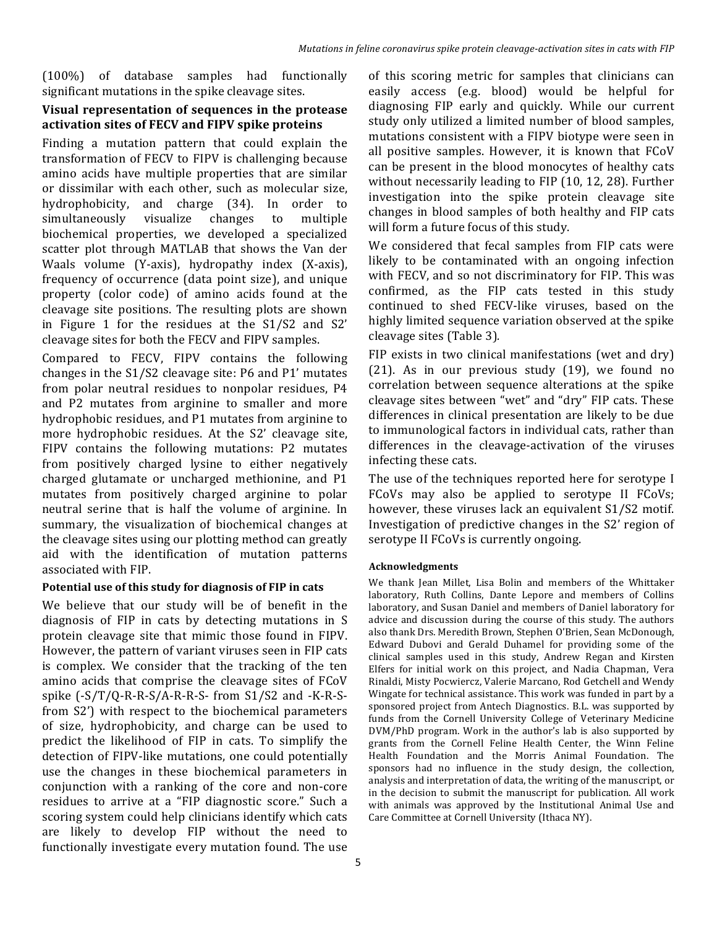(100%) of database samples had functionally significant mutations in the spike cleavage sites.

### **Visual representation of sequences in the protease activation sites of FECV and FIPV spike proteins**

Finding a mutation pattern that could explain the transformation of FECV to FIPV is challenging because amino acids have multiple properties that are similar or dissimilar with each other, such as molecular size, hydrophobicity, and charge (34). In order to simultaneously visualize changes to multiple biochemical properties, we developed a specialized scatter plot through MATLAB that shows the Van der Waals volume (Y-axis), hydropathy index (X-axis), frequency of occurrence (data point size), and unique property (color code) of amino acids found at the cleavage site positions. The resulting plots are shown in Figure 1 for the residues at the  $S1/S2$  and  $S2'$ cleavage sites for both the FECV and FIPV samples.

Compared to FECV, FIPV contains the following changes in the  $S1/S2$  cleavage site: P6 and P1' mutates from polar neutral residues to nonpolar residues, P4 and P2 mutates from arginine to smaller and more hydrophobic residues, and P1 mutates from arginine to more hydrophobic residues. At the S2' cleavage site, FIPV contains the following mutations: P2 mutates from positively charged lysine to either negatively charged glutamate or uncharged methionine, and P1 mutates from positively charged arginine to polar neutral serine that is half the volume of arginine. In summary, the visualization of biochemical changes at the cleavage sites using our plotting method can greatly aid with the identification of mutation patterns associated with FIP.

#### Potential use of this study for diagnosis of FIP in cats

We believe that our study will be of benefit in the diagnosis of FIP in cats by detecting mutations in S protein cleavage site that mimic those found in FIPV. However, the pattern of variant viruses seen in FIP cats is complex. We consider that the tracking of the ten amino acids that comprise the cleavage sites of FCoV spike  $(-S/T/Q-R-R-S/A-R-R-S-$  from  $S1/S2$  and  $-K-R-S$ from S2') with respect to the biochemical parameters of size, hydrophobicity, and charge can be used to predict the likelihood of FIP in cats. To simplify the detection of FIPV-like mutations, one could potentially use the changes in these biochemical parameters in conjunction with a ranking of the core and non-core residues to arrive at a "FIP diagnostic score." Such a scoring system could help clinicians identify which cats are likely to develop FIP without the need to functionally investigate every mutation found. The use

of this scoring metric for samples that clinicians can easily access (e.g. blood) would be helpful for diagnosing FIP early and quickly. While our current study only utilized a limited number of blood samples, mutations consistent with a FIPV biotype were seen in all positive samples. However, it is known that FCoV can be present in the blood monocytes of healthy cats without necessarily leading to FIP  $(10, 12, 28)$ . Further investigation into the spike protein cleavage site changes in blood samples of both healthy and FIP cats will form a future focus of this study.

We considered that fecal samples from FIP cats were likely to be contaminated with an ongoing infection with FECV, and so not discriminatory for FIP. This was confirmed, as the FIP cats tested in this study continued to shed FECV-like viruses, based on the highly limited sequence variation observed at the spike cleavage sites (Table 3)*.*

FIP exists in two clinical manifestations (wet and  $\text{dry}$ )  $(21)$ . As in our previous study  $(19)$ , we found no correlation between sequence alterations at the spike cleavage sites between "wet" and "dry" FIP cats. These differences in clinical presentation are likely to be due to immunological factors in individual cats, rather than differences in the cleavage-activation of the viruses infecting these cats.

The use of the techniques reported here for serotype I FCoVs may also be applied to serotype II FCoVs; however, these viruses lack an equivalent S1/S2 motif. Investigation of predictive changes in the S2' region of serotype II FCoVs is currently ongoing.

#### **Acknowledgments**

We thank Jean Millet, Lisa Bolin and members of the Whittaker laboratory, Ruth Collins, Dante Lepore and members of Collins laboratory, and Susan Daniel and members of Daniel laboratory for advice and discussion during the course of this study. The authors also thank Drs. Meredith Brown, Stephen O'Brien, Sean McDonough, Edward Dubovi and Gerald Duhamel for providing some of the clinical samples used in this study, Andrew Regan and Kirsten Elfers for initial work on this project, and Nadia Chapman, Vera Rinaldi, Misty Pocwiercz, Valerie Marcano, Rod Getchell and Wendy Wingate for technical assistance. This work was funded in part by a sponsored project from Antech Diagnostics. B.L. was supported by funds from the Cornell University College of Veterinary Medicine DVM/PhD program. Work in the author's lab is also supported by grants from the Cornell Feline Health Center, the Winn Feline Health Foundation and the Morris Animal Foundation. The sponsors had no influence in the study design, the collection, analysis and interpretation of data, the writing of the manuscript, or in the decision to submit the manuscript for publication. All work with animals was approved by the Institutional Animal Use and Care Committee at Cornell University (Ithaca NY).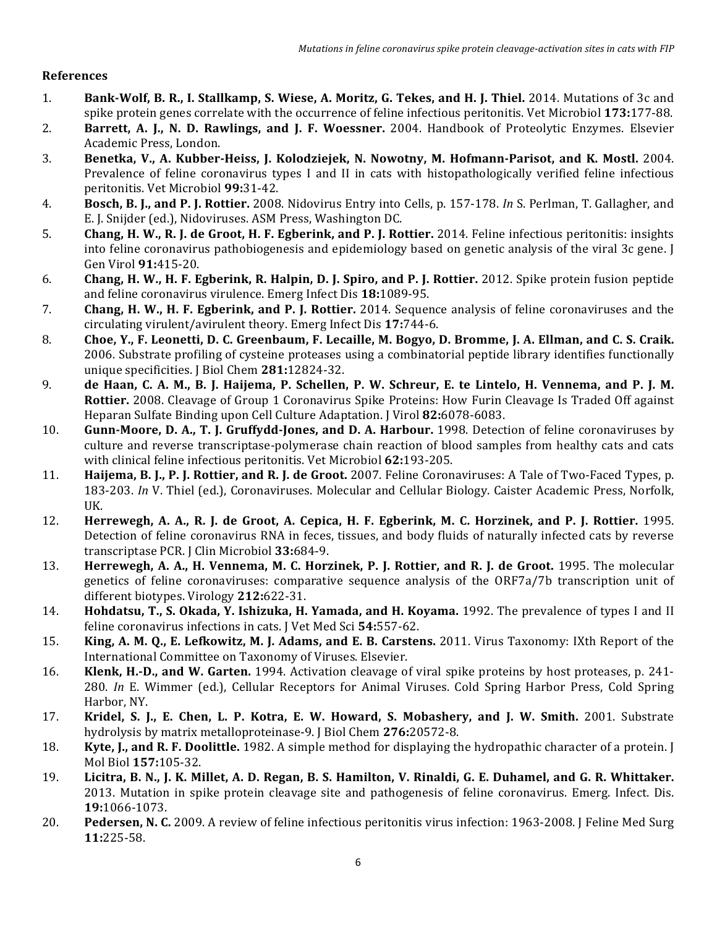### **References**

- 1. **Bank-Wolf, B. R., I. Stallkamp, S. Wiese, A. Moritz, G. Tekes, and H. J. Thiel.** 2014. Mutations of 3c and spike protein genes correlate with the occurrence of feline infectious peritonitis. Vet Microbiol 173:177-88.
- 2. **Barrett, A. J., N. D. Rawlings, and J. F. Woessner.** 2004. Handbook of Proteolytic Enzymes. Elsevier Academic Press, London.
- 3. **Benetka, V., A. Kubber-Heiss, J. Kolodziejek, N. Nowotny, M. Hofmann-Parisot, and K. Mostl.** 2004. Prevalence of feline coronavirus types I and II in cats with histopathologically verified feline infectious peritonitis. Vet Microbiol **99:**31-42.
- 4. **Bosch, B. J., and P. J. Rottier.** 2008. Nidovirus Entry into Cells, p. 157-178. In S. Perlman, T. Gallagher, and E. J. Snijder (ed.), Nidoviruses. ASM Press, Washington DC.
- 5. **Chang, H. W., R. J. de Groot, H. F. Egberink, and P. J. Rottier.** 2014. Feline infectious peritonitis: insights into feline coronavirus pathobiogenesis and epidemiology based on genetic analysis of the viral 3c gene. I Gen Virol **91:**415-20.
- 6. **Chang, H. W., H. F. Egberink, R. Halpin, D. J. Spiro, and P. J. Rottier.** 2012. Spike protein fusion peptide and feline coronavirus virulence. Emerg Infect Dis 18:1089-95.
- 7. **Chang, H. W., H. F. Egberink, and P. J. Rottier.** 2014. Sequence analysis of feline coronaviruses and the circulating virulent/avirulent theory. Emerg Infect Dis 17:744-6.
- 8. Choe, Y., F. Leonetti, D. C. Greenbaum, F. Lecaille, M. Bogyo, D. Bromme, J. A. Ellman, and C. S. Craik. 2006. Substrate profiling of cysteine proteases using a combinatorial peptide library identifies functionally unique specificities. J Biol Chem 281:12824-32.
- 9. **de Haan, C. A. M., B. J. Haijema, P. Schellen, P. W. Schreur, E. te Lintelo, H. Vennema, and P. J. M. Rottier.** 2008. Cleavage of Group 1 Coronavirus Spike Proteins: How Furin Cleavage Is Traded Off against Heparan Sulfate Binding upon Cell Culture Adaptation. J Virol **82:**6078-6083.
- 10. **Gunn-Moore, D. A., T. J. Gruffydd-Jones, and D. A. Harbour.** 1998. Detection of feline coronaviruses by culture and reverse transcriptase-polymerase chain reaction of blood samples from healthy cats and cats with clinical feline infectious peritonitis. Vet Microbiol 62:193-205.
- 11. **Haijema, B. J., P. J. Rottier, and R. J. de Groot.** 2007. Feline Coronaviruses: A Tale of Two-Faced Types, p. 183-203. *In* V. Thiel (ed.), Coronaviruses. Molecular and Cellular Biology. Caister Academic Press, Norfolk, UK.
- 12. **Herrewegh, A. A., R. J. de Groot, A. Cepica, H. F. Egberink, M. C. Horzinek, and P. J. Rottier.** 1995. Detection of feline coronavirus RNA in feces, tissues, and body fluids of naturally infected cats by reverse transcriptase PCR. J Clin Microbiol **33:**684-9.
- 13. **Herrewegh, A. A., H. Vennema, M. C. Horzinek, P. J. Rottier, and R. J. de Groot.** 1995. The molecular genetics of feline coronaviruses: comparative sequence analysis of the ORF7a/7b transcription unit of different biotypes. Virology **212:**622-31.
- 14. **Hohdatsu, T., S. Okada, Y. Ishizuka, H. Yamada, and H. Koyama.** 1992. The prevalence of types I and II feline coronavirus infections in cats. I Vet Med Sci 54:557-62.
- 15. **King, A. M. Q., E. Lefkowitz, M. J. Adams, and E. B. Carstens.** 2011. Virus Taxonomy: IXth Report of the International Committee on Taxonomy of Viruses. Elsevier.
- 16. **Klenk, H.-D., and W. Garten.** 1994. Activation cleavage of viral spike proteins by host proteases, p. 241-280. In E. Wimmer (ed.), Cellular Receptors for Animal Viruses. Cold Spring Harbor Press, Cold Spring Harbor, NY.
- 17. **Kridel, S. J., E. Chen, L. P. Kotra, E. W. Howard, S. Mobashery, and J. W. Smith.** 2001. Substrate hydrolysis by matrix metalloproteinase-9. J Biol Chem 276:20572-8.
- 18. **Kyte, J., and R. F. Doolittle.** 1982. A simple method for displaying the hydropathic character of a protein. J Mol Biol **157:**105-32.
- 19. **Licitra, B. N., J. K. Millet, A. D. Regan, B. S. Hamilton, V. Rinaldi, G. E. Duhamel, and G. R. Whittaker.** 2013. Mutation in spike protein cleavage site and pathogenesis of feline coronavirus. Emerg. Infect. Dis. **19:**1066-1073.
- 20. **Pedersen, N. C.** 2009. A review of feline infectious peritonitis virus infection: 1963-2008. J Feline Med Surg **11:**225-58.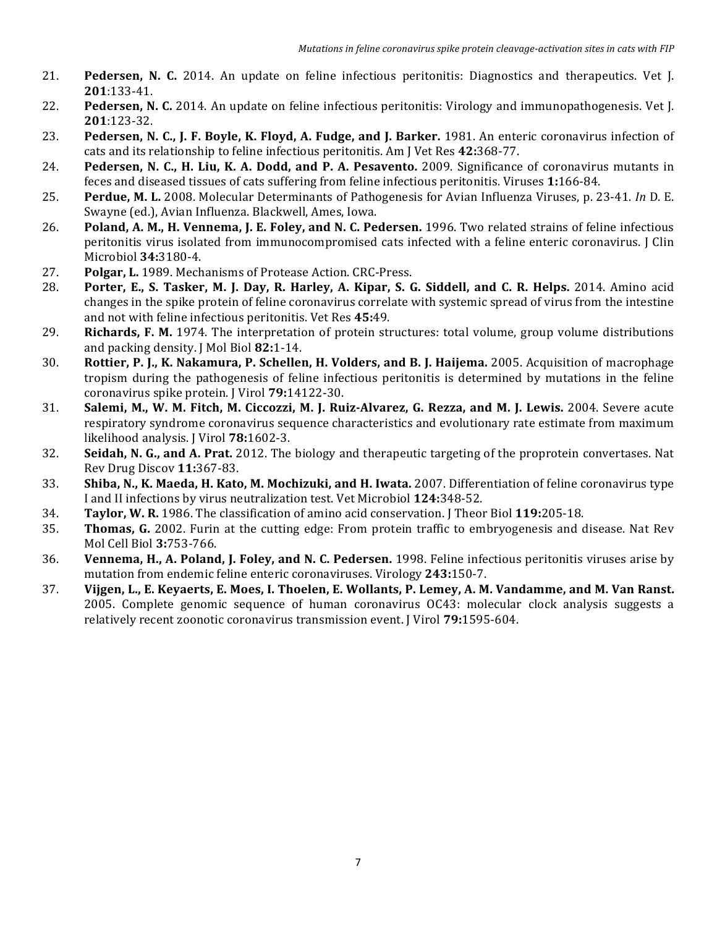- 21. **Pedersen, N. C.** 2014. An update on feline infectious peritonitis: Diagnostics and therapeutics. Vet [. **201**:133-41.
- 22. **Pedersen, N. C.** 2014. An update on feline infectious peritonitis: Virology and immunopathogenesis. Vet [. **201**:123-32.
- 23. **Pedersen, N. C., J. F. Boyle, K. Floyd, A. Fudge, and J. Barker.** 1981. An enteric coronavirus infection of cats and its relationship to feline infectious peritonitis. Am J Vet Res 42:368-77.
- 24. **Pedersen, N. C., H. Liu, K. A. Dodd, and P. A. Pesavento.** 2009. Significance of coronavirus mutants in feces and diseased tissues of cats suffering from feline infectious peritonitis. Viruses **1:**166-84.
- 25. **Perdue, M. L.** 2008. Molecular Determinants of Pathogenesis for Avian Influenza Viruses, p. 23-41. *In* D. E. Swayne (ed.), Avian Influenza. Blackwell, Ames, Iowa.
- 26. **Poland, A. M., H. Vennema, J. E. Foley, and N. C. Pedersen.** 1996. Two related strains of feline infectious peritonitis virus isolated from immunocompromised cats infected with a feline enteric coronavirus. I Clin Microbiol **34:**3180-4.
- 27. **Polgar, L.** 1989. Mechanisms of Protease Action. CRC-Press.
- 28. **Porter, E., S. Tasker, M. J. Day, R. Harley, A. Kipar, S. G. Siddell, and C. R. Helps.** 2014. Amino acid changes in the spike protein of feline coronavirus correlate with systemic spread of virus from the intestine and not with feline infectious peritonitis. Vet Res 45:49.
- 29. **Richards, F. M.** 1974. The interpretation of protein structures: total volume, group volume distributions and packing density. J Mol Biol 82:1-14.
- 30. **Rottier, P. J., K. Nakamura, P. Schellen, H. Volders, and B. J. Haijema.** 2005. Acquisition of macrophage tropism during the pathogenesis of feline infectious peritonitis is determined by mutations in the feline coronavirus spike protein. J Virol **79:**14122-30.
- 31. **Salemi, M., W. M. Fitch, M. Ciccozzi, M. J. Ruiz-Alvarez, G. Rezza, and M. J. Lewis.** 2004. Severe acute respiratory syndrome coronavirus sequence characteristics and evolutionary rate estimate from maximum likelihood analysis. J Virol **78:**1602-3.
- **32. Seidah, N. G., and A. Prat.** 2012. The biology and therapeutic targeting of the proprotein convertases. Nat Rev Drug Discov **11:**367-83.
- **33. Shiba, N., K. Maeda, H. Kato, M. Mochizuki, and H. Iwata.** 2007. Differentiation of feline coronavirus type I and II infections by virus neutralization test. Vet Microbiol 124:348-52.
- 34. **Taylor, W. R.** 1986. The classification of amino acid conservation. J Theor Biol 119:205-18.
- **35. Thomas, G.** 2002. Furin at the cutting edge: From protein traffic to embryogenesis and disease. Nat Rev Mol Cell Biol **3:**753-766.
- 36. **Vennema, H., A. Poland, J. Foley, and N. C. Pedersen.** 1998. Feline infectious peritonitis viruses arise by mutation from endemic feline enteric coronaviruses. Virology 243:150-7.
- 37. **Vijgen, L., E. Keyaerts, E. Moes, I. Thoelen, E. Wollants, P. Lemey, A. M. Vandamme, and M. Van Ranst.** 2005. Complete genomic sequence of human coronavirus OC43: molecular clock analysis suggests a relatively recent zoonotic coronavirus transmission event. I Virol **79:**1595-604.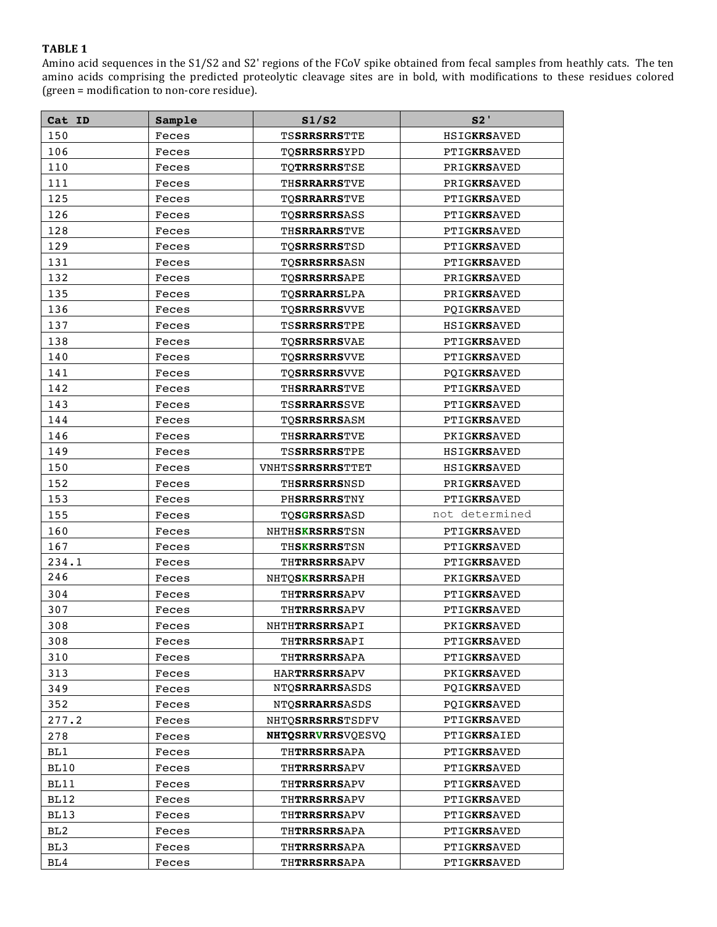Amino acid sequences in the S1/S2 and S2' regions of the FCoV spike obtained from fecal samples from heathly cats. The ten amino acids comprising the predicted proteolytic cleavage sites are in bold, with modifications to these residues colored (green = modification to non-core residue).

| Cat ID | Sample | S1/S2                      | S2'                |
|--------|--------|----------------------------|--------------------|
| 150    | Feces  | <b>TSSRRSRRSTTE</b>        | HSIGKRSAVED        |
| 106    | Feces  | TQ <b>SRRSRRS</b> YPD      | PTIGKRSAVED        |
| 110    | Feces  | TOTRRSRRSTSE               | PRIGKRSAVED        |
| 111    | Feces  | TH <b>SRRARRS</b> TVE      | PRIGKRSAVED        |
| 125    | Feces  | <b>TOSRRARRSTVE</b>        | PTIGKRSAVED        |
| 126    | Feces  | <b>TOSRRSRRSASS</b>        | PTIGKRSAVED        |
| 128    | Feces  | THSRRARRSTVE               | PTIGKRSAVED        |
| 129    | Feces  | TQ <b>SRRSRRS</b> TSD      | PTIGKRSAVED        |
| 131    | Feces  | TOSRRSRRSASN               | PTIGKRSAVED        |
| 132    | Feces  | TQSRRSRRSAPE               | PRIGKRSAVED        |
| 135    | Feces  | <b>TOSRRARRSLPA</b>        | PRIGKRSAVED        |
| 136    | Feces  | TQ <b>SRRSRRS</b> VVE      | POIGKRSAVED        |
| 137    | Feces  | <b>TSSRRSRRSTPE</b>        | HSIGKRSAVED        |
| 138    |        |                            |                    |
|        | Feces  | TOSRRSRRSVAE               | PTIGKRSAVED        |
| 140    | Feces  | <b>TOSRRSRRSVVE</b>        | <b>PTIGKRSAVED</b> |
| 141    | Feces  | TOSRRSRRSVVE               | POIGKRSAVED        |
| 142    | Feces  | THSRRARRSTVE               | PTIGKRSAVED        |
| 143    | Feces  | TS <b>SRRARRS</b> SVE      | PTIGKRSAVED        |
| 144    | Feces  | <b>TOSRRSRRSASM</b>        | PTIGKRSAVED        |
| 146    | Feces  | THSRRARRSTVE               | PKIGKRSAVED        |
| 149    | Feces  | TSSRRSRRSTPE               | HSIGKRSAVED        |
| 150    | Feces  | <b>VNHTSSRRSRRSTTET</b>    | <b>HSIGKRSAVED</b> |
| 152    | Feces  | TH <b>SRRSRRS</b> NSD      | PRIGKRSAVED        |
| 153    | Feces  | PHSRRSRRSTNY               | PTIGKRSAVED        |
| 155    | Feces  | <b>TOSGRSRRSASD</b>        | not determined     |
| 160    | Feces  | NHTH <b>SKRSRRS</b> TSN    | PTIGKRSAVED        |
| 167    | Feces  | TH <b>SKRSRRS</b> TSN      | PTIGKRSAVED        |
| 234.1  | Feces  | TH <b>TRRSRRS</b> APV      | PTIGKRSAVED        |
| 246    | Feces  | NHTQSKRSRRSAPH             | PKIGKRSAVED        |
| 304    | Feces  | THTRRSRRSAPV               | PTIGKRSAVED        |
| 307    | Feces  | <b>THTRRSRRSAPV</b>        | PTIGKRSAVED        |
| 308    | Feces  | NHTH <b>TRRSRRS</b> API    | PKIGKRSAVED        |
| 308    | Feces  | TH <b>TRRSRRS</b> API      | PTIGKRSAVED        |
| 310    | Feces  | <b>TH<b>TRRSRRS</b>APA</b> | PTIGKRSAVED        |
| 313    | Feces  | <b>HARTRRSRRSAPV</b>       | PKIGKRSAVED        |
| 349    | Feces  | <b>NTOSRRARRSASDS</b>      | PQIGKRSAVED        |
| 352    | Feces  | <b>NTOSRRARRSASDS</b>      | POIGKRSAVED        |
| 277.2  | Feces  | NHTOSRRSRRSTSDFV           | PTIGKRSAVED        |
| 278    | Feces  | <b>NHTOSRRVRRSVOESVO</b>   | PTIGKRSAIED        |
| BL1    | Feces  | <b>TH<b>TRRSRRS</b>APA</b> | PTIGKRSAVED        |
| BL10   | Feces  | <b>THTRRSRRSAPV</b>        | PTIGKRSAVED        |
| BL11   | Feces  | <b>TH<b>TRRSRRS</b>APV</b> | PTIGKRSAVED        |
| BL12   | Feces  | THTRRSRRSAPV               | PTIGKRSAVED        |
| BL13   | Feces  | TH <b>TRRSRRS</b> APV      | PTIGKRSAVED        |
| BL2    | Feces  | TH <b>TRRSRRS</b> APA      | PTIGKRSAVED        |
| BL3    | Feces  | <b>TH<b>TRRSRRS</b>APA</b> | PTIGKRSAVED        |
| BL4    | Feces  | <b>TH<b>TRRSRRS</b>APA</b> | PTIGKRSAVED        |
|        |        |                            |                    |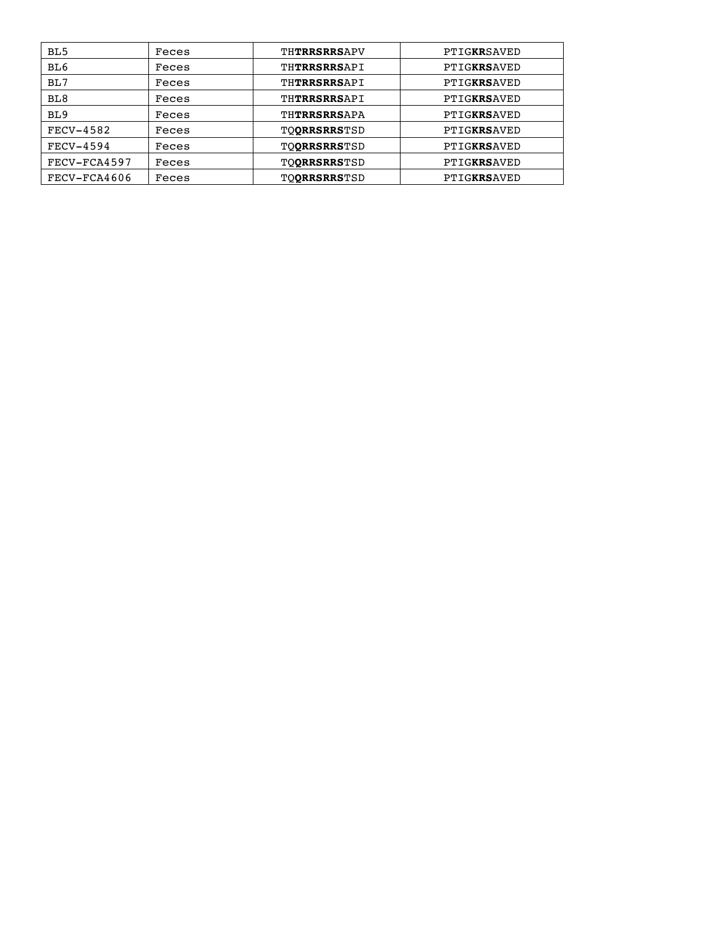| BL <sub>5</sub>  | Feces | THTRRSRRSAPV        | PTIGKRSAVED |
|------------------|-------|---------------------|-------------|
| BL <sub>6</sub>  | Feces | THTRRSRRSAPI        | PTIGKRSAVED |
| BL7              | Feces | <b>THTRRSRRSAPT</b> | PTIGKRSAVED |
| BL <sub>8</sub>  | Feces | THTRRSRRSAPI        | PTIGKRSAVED |
| BL9              | Feces | THTRRSRRSAPA        | PTIGKRSAVED |
| <b>FECV-4582</b> | Feces | <b>TOORRSRRSTSD</b> | PTIGKRSAVED |
| $FECV-4594$      | Feces | <b>TOORRSRRSTSD</b> | PTIGKRSAVED |
| FECV-FCA4597     | Feces | <b>TOORRSRRSTSD</b> | PTIGKRSAVED |
| FECV-FCA4606     | Feces | <b>TOORRSRRSTSD</b> | PTIGKRSAVED |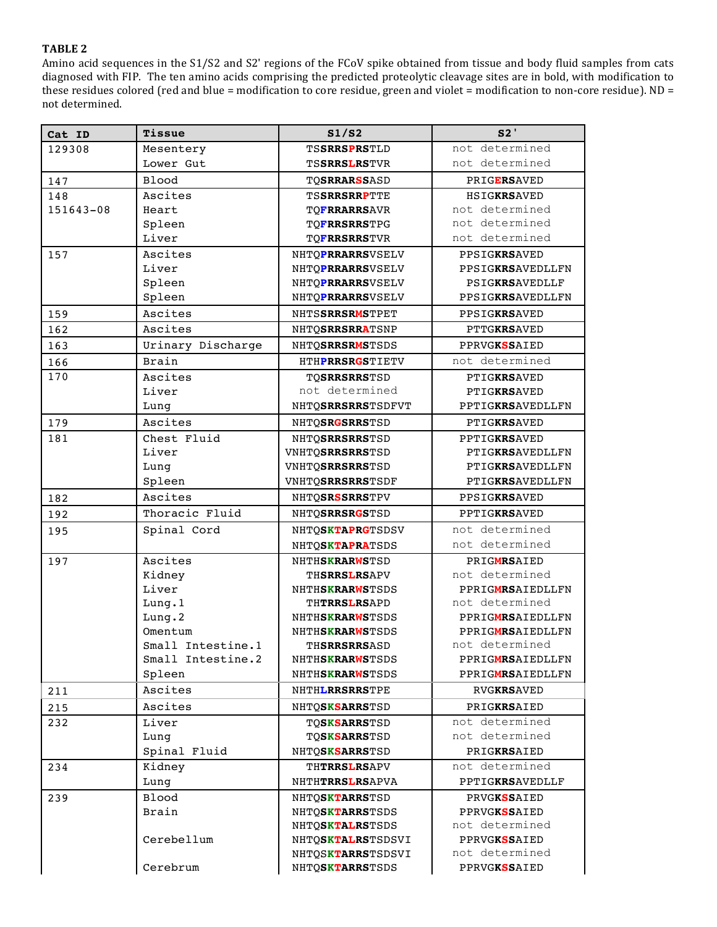Amino acid sequences in the S1/S2 and S2' regions of the FCoV spike obtained from tissue and body fluid samples from cats diagnosed with FIP. The ten amino acids comprising the predicted proteolytic cleavage sites are in bold, with modification to these residues colored (red and blue = modification to core residue, green and violet = modification to non-core residue).  $ND =$ not determined.

| Cat ID    | Tissue            | S1/S2                      | S2'                 |
|-----------|-------------------|----------------------------|---------------------|
| 129308    | Mesentery         | <b>TSSRRSPRSTLD</b>        | not determined      |
|           | Lower Gut         | <b>TSSRRSLRSTVR</b>        | not determined      |
| 147       | <b>Blood</b>      | <b>TOSRRARSSASD</b>        | <b>PRIGERSAVED</b>  |
| 148       | Ascites           | <b>TSSRRSRRPTTE</b>        | <b>HSIGKRSAVED</b>  |
| 151643-08 | Heart             | <b>TOFRRARRSAVR</b>        | not determined      |
|           | Spleen            | <b>TOFRRSRRSTPG</b>        | not determined      |
|           | Liver             | <b>TOFRRSRRSTVR</b>        | not determined      |
| 157       | Ascites           | NHTOPRRARRSVSELV           | PPSIGKRSAVED        |
|           | Liver             | NHTOPRRARRSVSELV           | PPSIGKRSAVEDLLFN    |
|           | Spleen            | NHTOPRRARRSVSELV           | PSIGKRSAVEDLLF      |
|           | Spleen            | NHTQPRRARRSVSELV           | PPSIGKRSAVEDLLFN    |
| 159       | Ascites           | NHTSSRRSRMSTPET            | PPSIGKRSAVED        |
| 162       | Ascites           | NHTOSRRSRRATSNP            | PTTGKRSAVED         |
| 163       | Urinary Discharge | NHTOSRRSRMSTSDS            | <b>PPRVGKSSAIED</b> |
| 166       | Brain             | HTHPRRSRGSTIETV            | not determined      |
| 170       | Ascites           | <b>TOSRRSRRSTSD</b>        | PTIGKRSAVED         |
|           | Liver             | not determined             | <b>PTIGKRSAVED</b>  |
|           | Lung              | NHTOSRRSRRSTSDFVT          | PPTIGKRSAVEDLLFN    |
| 179       | Ascites           | NHTQSRGSRRSTSD             | PTIGKRSAVED         |
| 181       | Chest Fluid       | NHTO <b>SRRSRRS</b> TSD    | PPTIGKRSAVED        |
|           | Liver             | VNHTQSRRSRRSTSD            | PTIGKRSAVEDLLFN     |
|           | Lung              | VNHTQSRRSRRSTSD            | PTIGKRSAVEDLLFN     |
|           | Spleen            | VNHTQSRRSRRSTSDF           | PTIGKRSAVEDLLFN     |
| 182       | Ascites           | NHTOSRSSRRSTPV             | PPSIGKRSAVED        |
| 192       | Thoracic Fluid    | NHTQSRRSRGSTSD             | PPTIGKRSAVED        |
| 195       | Spinal Cord       | NHTQSKTAPRGTSDSV           | not determined      |
|           |                   | NHTOSKTAPRATSDS            | not determined      |
| 197       | Ascites           | NHTH <b>SKRARWS</b> TSD    | PRIGMRSAIED         |
|           | Kidney            | <b>THSRRSLRSAPV</b>        | not determined      |
|           | Liver             | NHTHSKRARWSTSDS            | PPRIGMRSAIEDLLFN    |
|           | Lung.1            | <b>THTRRSLRSAPD</b>        | not determined      |
|           | Lung.2            | NHTHSKRARWSTSDS            | PPRIGMRSAIEDLLFN    |
|           | Omentum           | NHTH <b>SKRARWS</b> TSDS   | PPRIGMRSAIEDLLFN    |
|           | Small Intestine.1 | <b>TH<b>SRRSRRS</b>ASD</b> | not determined      |
|           | Small Intestine.2 | NHTH <b>SKRARWS</b> TSDS   | PPRIGMRSAIEDLLFN    |
|           | Spleen            | NHTHSKRARWSTSDS            | PPRIGMRSAIEDLLFN    |
| 211       | Ascites           | NHTH <b>LRRSRRS</b> TPE    | <b>RVGKRSAVED</b>   |
| 215       | Ascites           | NHTOSKSARRSTSD             | PRIGKRSAIED         |
| 232       | Liver             | <b>TOSKSARRSTSD</b>        | not determined      |
|           | Lung              | <b>TOSKSARRSTSD</b>        | not determined      |
|           | Spinal Fluid      | NHTQSKSARRSTSD             | PRIGKRSAIED         |
| 234       | Kidney            | <b>THTRRSLRSAPV</b>        | not determined      |
|           | Lung              | NHTHTRRSLRSAPVA            | PPTIGKRSAVEDLLF     |
| 239       | Blood             | NHTOSKTARRSTSD             | <b>PRVGKSSAIED</b>  |
|           | Brain             | NHTOSKTARRSTSDS            | <b>PPRVGKSSAIED</b> |
|           |                   | NHTOSKTALRSTSDS            | not determined      |
|           | Cerebellum        | NHTOSKTALRSTSDSVI          | <b>PPRVGKSSAIED</b> |
|           |                   | NHTQSKTARRSTSDSVI          | not determined      |
|           | Cerebrum          | NHTQSKTARRSTSDS            | <b>PPRVGKSSAIED</b> |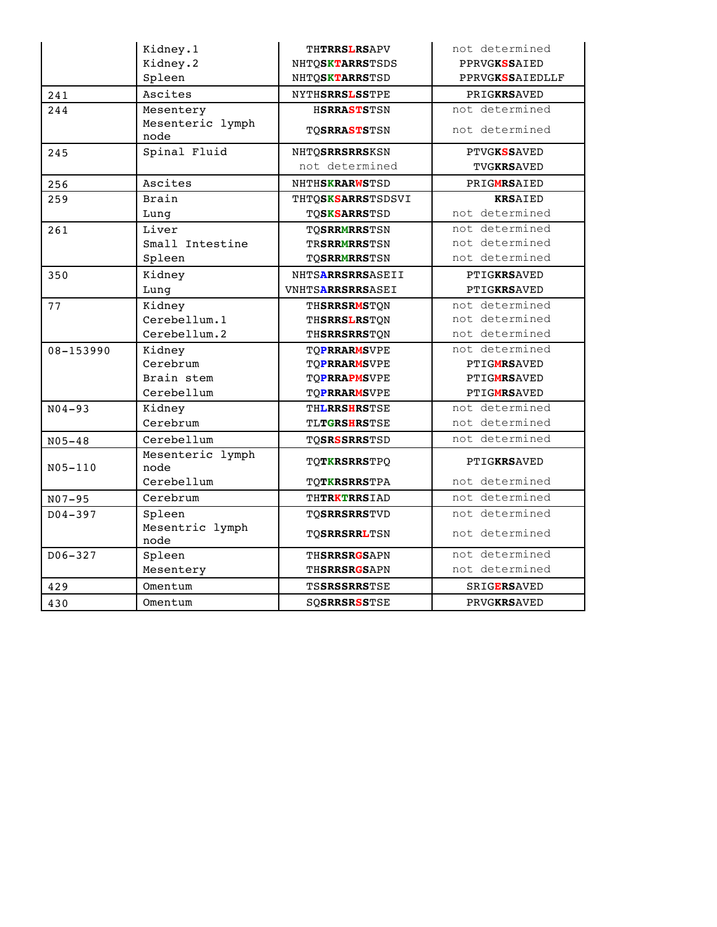|             | Kidney.1                 | <b>THTRRSLRSAPV</b>     | not determined         |
|-------------|--------------------------|-------------------------|------------------------|
|             | Kidney.2                 | NHTOSKTARRSTSDS         | PPRVGKSSAIED           |
|             | Spleen                   | NHTOSKTARRSTSD          | <b>PPRVGKSSAIEDLLF</b> |
| 241         | Ascites                  | <b>NYTHSRRSLSSTPE</b>   | PRIGKRSAVED            |
| 244         | Mesentery                | <b>HSRRASTSTSN</b>      | not determined         |
|             | Mesenteric lymph<br>node | TO <b>SRRASTS</b> TSN   | not determined         |
| 245         | Spinal Fluid             | <b>NHTOSRRSRRSKSN</b>   | <b>PTVGKSSAVED</b>     |
|             |                          | not determined          | <b>TVGKRSAVED</b>      |
| 256         | Ascites                  | NHTHSKRARWSTSD          | PRIGMRSAIED            |
| 259         | Brain                    | THTOSKSARRSTSDSVI       | <b>KRSAIED</b>         |
|             | Lung                     | <b>TOSKSARRSTSD</b>     | not determined         |
| 261         | Liver                    | <b>TOSRRMRRSTSN</b>     | not determined         |
|             | Small Intestine          | <b>TRSRRMRRSTSN</b>     | not determined         |
|             | Spleen                   | <b>TOSRRMRRSTSN</b>     | not determined         |
| 350         | Kidney                   | NHTSARRSRRSASEII        | PTIGKRSAVED            |
|             | Lung                     | <b>VNHTSARRSRRSASEI</b> | PTIGKRSAVED            |
| 77          | Kidney                   | <b>THSRRSRMSTON</b>     | not determined         |
|             | Cerebellum.1             | <b>THSRRSLRSTON</b>     | not determined         |
|             | Cerebellum.2             | <b>THSRRSRRSTQN</b>     | not determined         |
| 08-153990   | Kidney                   | <b>TOPRRARMSVPE</b>     | not determined         |
|             | Cerebrum                 | <b>TOPRRARMSVPE</b>     | <b>PTIGMRSAVED</b>     |
|             | Brain stem               | <b>TOPRRAPMSVPE</b>     | <b>PTIGMRSAVED</b>     |
|             | Cerebellum               | <b>TOPRRARMSVPE</b>     | PTIGMRSAVED            |
| $N04 - 93$  | Kidney                   | THLRRSHRSTSE            | not determined         |
|             | Cerebrum                 | <b>TLTGRSHRSTSE</b>     | not determined         |
| $N05 - 48$  | Cerebellum               | <b>TOSRSSRRSTSD</b>     | not determined         |
| N05-110     | Mesenteric lymph<br>node | <b>TOTKRSRRSTPO</b>     | PTIGKRSAVED            |
|             | Cerebellum               | <b>TQTKRSRRSTPA</b>     | not determined         |
| $N07 - 95$  | Cerebrum                 | THTRKTRRSIAD            | not determined         |
| $D04 - 397$ | Spleen                   | <b>TOSRRSRRSTVD</b>     | not determined         |
|             | Mesentric lymph          | <b>TOSRRSRRLTSN</b>     | not determined         |
| $D06 - 327$ | node<br>Spleen           | <b>THSRRSRGSAPN</b>     | not determined         |
|             | Mesentery                | <b>THSRRSRGSAPN</b>     | not determined         |
|             | Omentum                  | TSSRSSRRSTSE            | <b>SRIGERSAVED</b>     |
| 429         |                          |                         |                        |
| 430         | Omentum                  | <b>SOSRRSRSSTSE</b>     | PRVGKRSAVED            |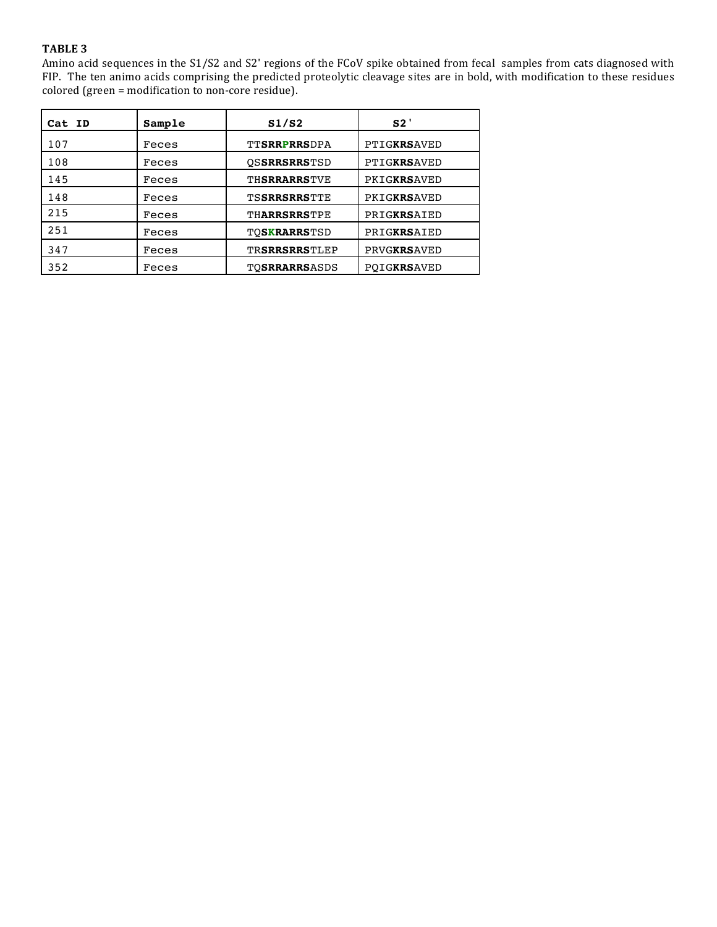Amino acid sequences in the S1/S2 and S2' regions of the FCoV spike obtained from fecal samples from cats diagnosed with FIP. The ten animo acids comprising the predicted proteolytic cleavage sites are in bold, with modification to these residues colored (green = modification to non-core residue).

| Cat ID | Sample | S1/S2                | S2'                |
|--------|--------|----------------------|--------------------|
| 107    | Feces  | <b>TTSRRPRRSDPA</b>  | PTIGKRSAVED        |
| 108    | Feces  | <b>OSSRRSRRSTSD</b>  | PTIGKRSAVED        |
| 145    | Feces  | <b>THSRRARRSTVE</b>  | PKIGKRSAVED        |
| 148    | Feces  | <b>TSSRRSRRSTTE</b>  | PKIGKRSAVED        |
| 215    | Feces  | THARRSRRSTPE         | PRIGKRSAIED        |
| 251    | Feces  | <b>TOSKRARRSTSD</b>  | PRIGKRSAIED        |
| 347    | Feces  | <b>TRSRRSRRSTLEP</b> | <b>PRVGKRSAVED</b> |
| 352    | Feces  | <b>TOSRRARRSASDS</b> | POIGKRSAVED        |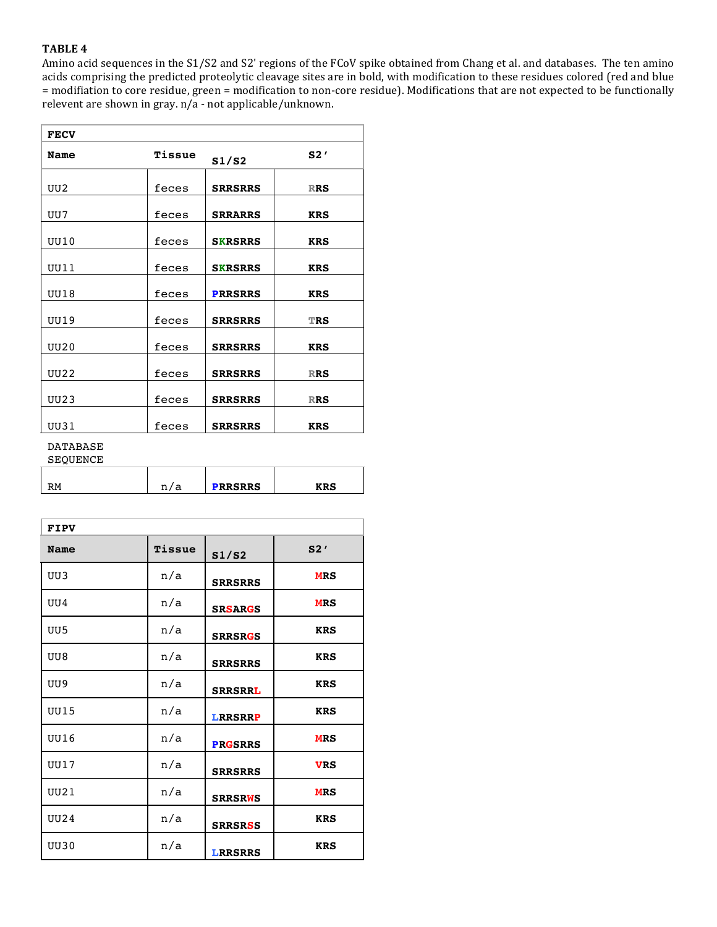Amino acid sequences in the S1/S2 and S2' regions of the FCoV spike obtained from Chang et al. and databases. The ten amino acids comprising the predicted proteolytic cleavage sites are in bold, with modification to these residues colored (red and blue = modifiation to core residue, green = modification to non-core residue). Modifications that are not expected to be functionally relevent are shown in gray.  $n/a$  - not applicable/unknown.

| <b>FECV</b> |        |                |            |
|-------------|--------|----------------|------------|
| <b>Name</b> | Tissue | S1/S2          | S2'        |
| UU2         | feces  | <b>SRRSRRS</b> | <b>RRS</b> |
| UU7         | feces  | <b>SRRARRS</b> | <b>KRS</b> |
| UU10        | feces  | <b>SKRSRRS</b> | <b>KRS</b> |
| UU111       | feces  | <b>SKRSRRS</b> | <b>KRS</b> |
| <b>UU18</b> | feces  | <b>PRRSRRS</b> | <b>KRS</b> |
| UU19        | feces  | <b>SRRSRRS</b> | <b>TRS</b> |
| <b>UU20</b> | feces  | <b>SRRSRRS</b> | <b>KRS</b> |
| <b>UU22</b> | feces  | <b>SRRSRRS</b> | <b>RRS</b> |
| <b>UU23</b> | feces  | <b>SRRSRRS</b> | <b>RRS</b> |
| UU31        | feces  | <b>SRRSRRS</b> | <b>KRS</b> |

#### DATABASE **SEQUENCE**

| <b>PRRSRRS</b> |  |
|----------------|--|
|                |  |

| <b>FIPV</b> |        |                |            |  |
|-------------|--------|----------------|------------|--|
| <b>Name</b> | Tissue | S1/S2          | S2'        |  |
| UU3         | n/a    | <b>SRRSRRS</b> | <b>MRS</b> |  |
| UU4         | n/a    | <b>SRSARGS</b> | <b>MRS</b> |  |
| UU5         | n/a    | <b>SRRSRGS</b> | <b>KRS</b> |  |
| UU8         | n/a    | <b>SRRSRRS</b> | <b>KRS</b> |  |
| UU9         | n/a    | <b>SRRSRRL</b> | <b>KRS</b> |  |
| <b>UU15</b> | n/a    | <b>LRRSRRP</b> | <b>KRS</b> |  |
| <b>UU16</b> | n/a    | <b>PRGSRRS</b> | <b>MRS</b> |  |
| UU17        | n/a    | <b>SRRSRRS</b> | <b>VRS</b> |  |
| <b>UU21</b> | n/a    | <b>SRRSRWS</b> | <b>MRS</b> |  |
| <b>UU24</b> | n/a    | <b>SRRSRSS</b> | <b>KRS</b> |  |
| <b>UU30</b> | n/a    | <b>LRRSRRS</b> | <b>KRS</b> |  |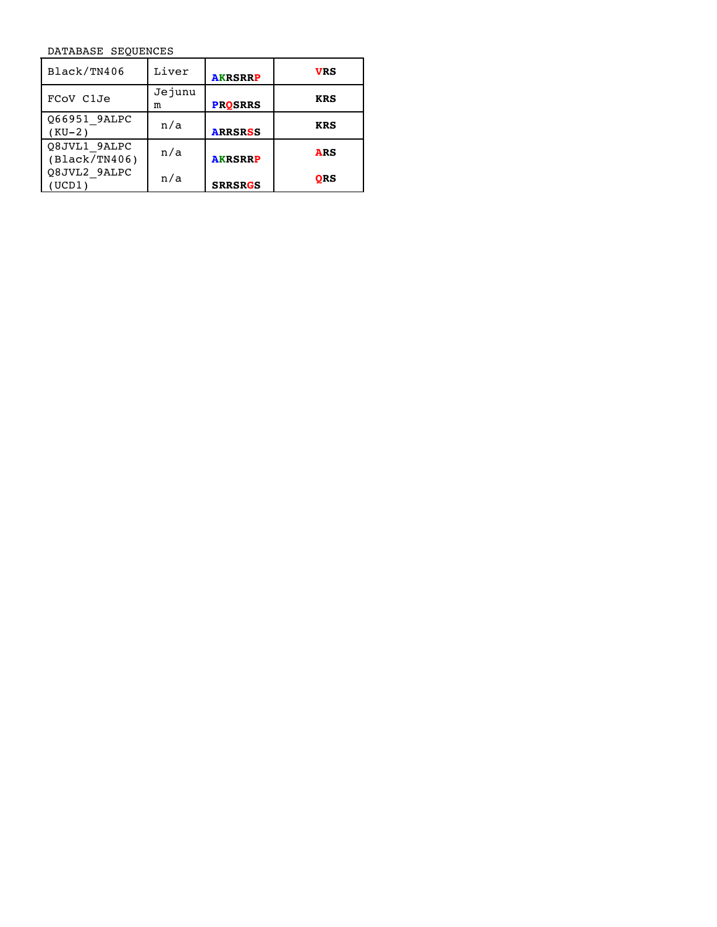DATABASE SEQUENCES

| Black/TN406                   | Liver       | <b>AKRSRRP</b> | VRS        |
|-------------------------------|-------------|----------------|------------|
| FCOV C1Je                     | Jejunu<br>m | <b>PROSRRS</b> | <b>KRS</b> |
| Q66951 9ALPC<br>$(KU-2)$      | n/a         | <b>ARRSRSS</b> | <b>KRS</b> |
| Q8JVL1 9ALPC<br>(Black/TN406) | n/a         | <b>AKRSRRP</b> | <b>ARS</b> |
| Q8JVL2 9ALPC<br>(UCD1)        | n/a         | <b>SRRSRGS</b> | ORS        |